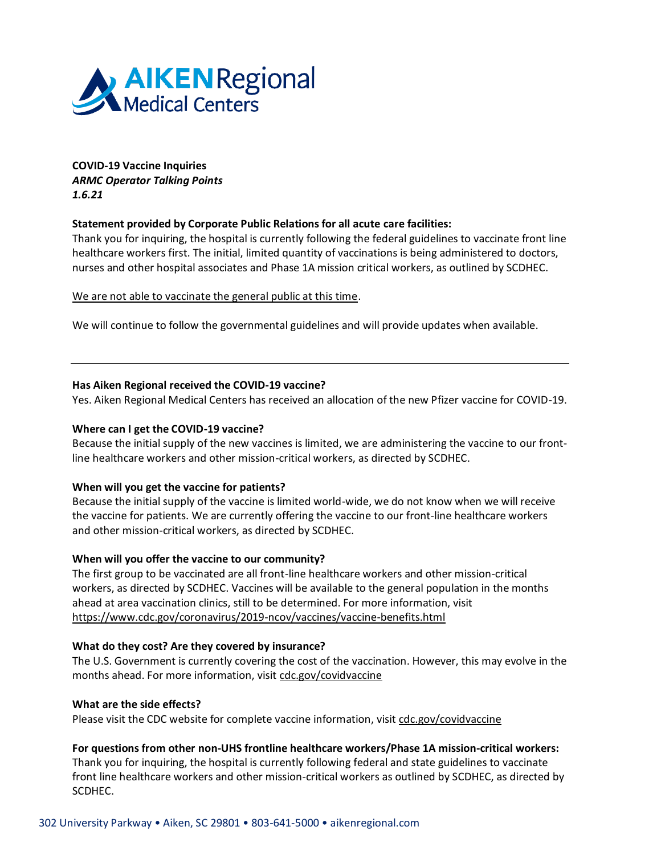

**COVID-19 Vaccine Inquiries** *ARMC Operator Talking Points 1.6.21*

# **Statement provided by Corporate Public Relations for all acute care facilities:**

Thank you for inquiring, the hospital is currently following the federal guidelines to vaccinate front line healthcare workers first. The initial, limited quantity of vaccinations is being administered to doctors, nurses and other hospital associates and Phase 1A mission critical workers, as outlined by SCDHEC.

We are not able to vaccinate the general public at this time.

We will continue to follow the governmental guidelines and will provide updates when available.

## **Has Aiken Regional received the COVID-19 vaccine?**

Yes. Aiken Regional Medical Centers has received an allocation of the new Pfizer vaccine for COVID-19.

### **Where can I get the COVID-19 vaccine?**

Because the initial supply of the new vaccines is limited, we are administering the vaccine to our frontline healthcare workers and other mission-critical workers, as directed by SCDHEC.

# **When will you get the vaccine for patients?**

Because the initial supply of the vaccine is limited world-wide, we do not know when we will receive the vaccine for patients. We are currently offering the vaccine to our front-line healthcare workers and other mission-critical workers, as directed by SCDHEC.

### **When will you offer the vaccine to our community?**

The first group to be vaccinated are all front-line healthcare workers and other mission-critical workers, as directed by SCDHEC. Vaccines will be available to the general population in the months ahead at area vaccination clinics, still to be determined. For more information, visit <https://www.cdc.gov/coronavirus/2019-ncov/vaccines/vaccine-benefits.html>

# **What do they cost? Are they covered by insurance?**

The U.S. Government is currently covering the cost of the vaccination. However, this may evolve in the months ahead. For more information, visit [cdc.gov/covidvaccine](https://www.cdc.gov/coronavirus/2019-ncov/vaccines/index.html?CDC_AA_refVal=https%3A%2F%2Fwww.cdc.gov%2Fcovidvaccine%2Findex.html)

### **What are the side effects?**

Please visit the CDC website for complete vaccine information, visit [cdc.gov/covidvaccine](https://www.cdc.gov/coronavirus/2019-ncov/vaccines/index.html?CDC_AA_refVal=https%3A%2F%2Fwww.cdc.gov%2Fcovidvaccine%2Findex.html)

### **For questions from other non-UHS frontline healthcare workers/Phase 1A mission-critical workers:**

Thank you for inquiring, the hospital is currently following federal and state guidelines to vaccinate front line healthcare workers and other mission-critical workers as outlined by SCDHEC, as directed by SCDHEC.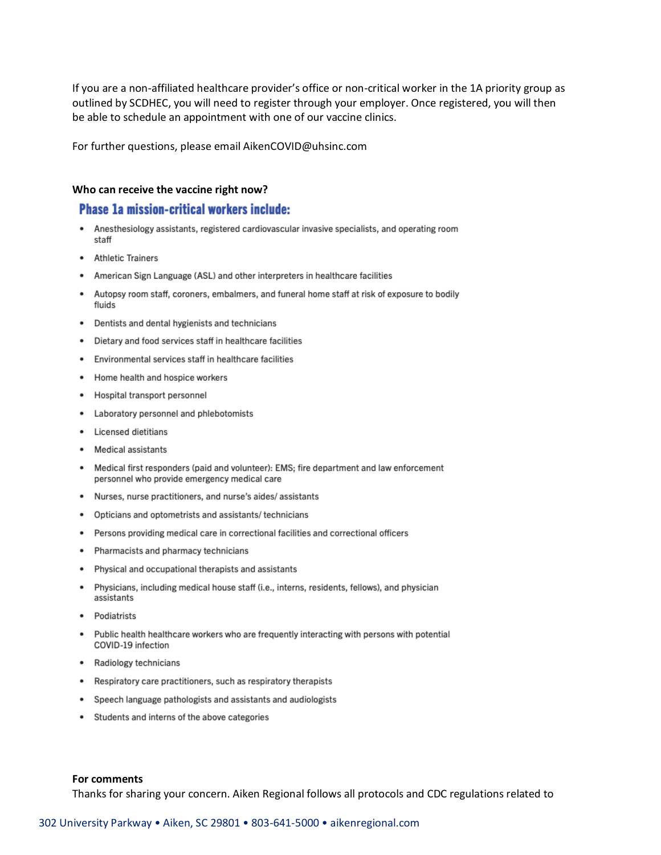If you are a non-affiliated healthcare provider's office or non-critical worker in the 1A priority group as outlined by SCDHEC, you will need to register through your employer. Once registered, you will then be able to schedule an appointment with one of our vaccine clinics.

For further questions, please email AikenCOVID@uhsinc.com

#### Who can receive the vaccine right now?

# **Phase 1a mission-critical workers include:**

- ٠ Anesthesiology assistants, registered cardiovascular invasive specialists, and operating room staff
- Athletic Trainers
- American Sign Language (ASL) and other interpreters in healthcare facilities
- Autopsy room staff, coroners, embalmers, and funeral home staff at risk of exposure to bodily fluids
- Dentists and dental hygienists and technicians
- Dietary and food services staff in healthcare facilities
- Environmental services staff in healthcare facilities
- Home health and hospice workers
- Hospital transport personnel
- Laboratory personnel and phlebotomists
- Licensed dietitians
- Medical assistants
- Medical first responders (paid and volunteer): EMS; fire department and law enforcement personnel who provide emergency medical care
- Nurses, nurse practitioners, and nurse's aides/assistants
- Opticians and optometrists and assistants/ technicians
- Persons providing medical care in correctional facilities and correctional officers
- Pharmacists and pharmacy technicians
- Physical and occupational therapists and assistants
- Physicians, including medical house staff (i.e., interns, residents, fellows), and physician assistants
- Podiatrists
- Public health healthcare workers who are frequently interacting with persons with potential  $\bullet$ COVID-19 infection
- Radiology technicians
- Respiratory care practitioners, such as respiratory therapists
- Speech language pathologists and assistants and audiologists
- Students and interns of the above categories

#### For comments

Thanks for sharing your concern. Aiken Regional follows all protocols and CDC regulations related to